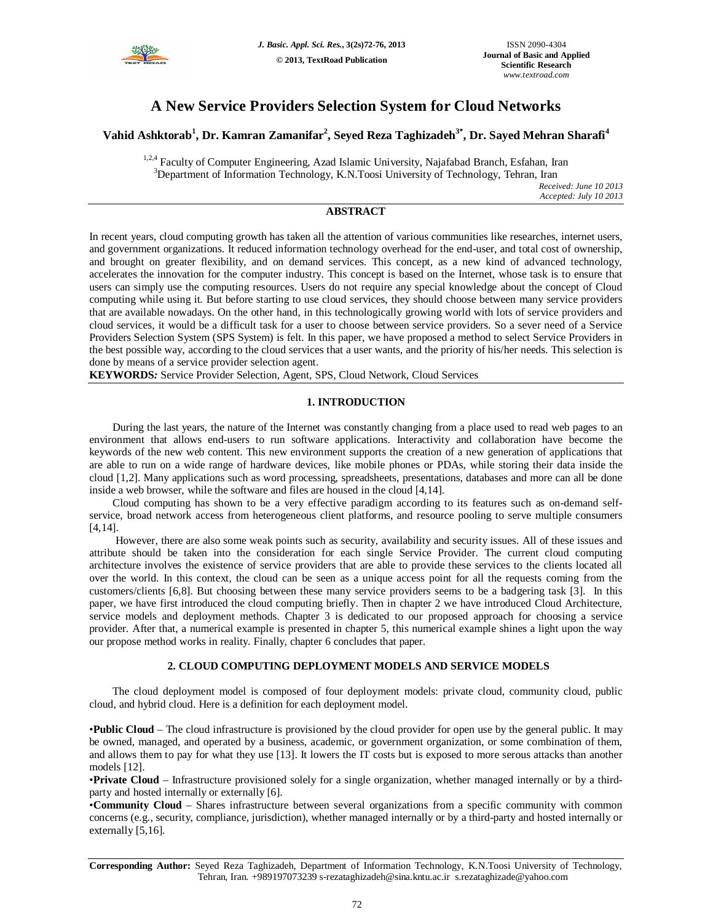

# **A New Service Providers Selection System for Cloud Networks**

## **Vahid Ashktorab<sup>1</sup> , Dr. Kamran Zamanifar<sup>2</sup> , Seyed Reza Taghizadeh3\* , Dr. Sayed Mehran Sharafi<sup>4</sup>**

<sup>1,2,4</sup> Faculty of Computer Engineering, Azad Islamic University, Najafabad Branch, Esfahan, Iran <sup>3</sup>Department of Information Technology, K.N.Toosi University of Technology, Tehran, Iran

*Received: June 10 2013 Accepted: July 10 2013*

## **ABSTRACT**

In recent years, cloud computing growth has taken all the attention of various communities like researches, internet users, and government organizations. It reduced information technology overhead for the end-user, and total cost of ownership, and brought on greater flexibility, and on demand services. This concept, as a new kind of advanced technology, accelerates the innovation for the computer industry. This concept is based on the Internet, whose task is to ensure that users can simply use the computing resources. Users do not require any special knowledge about the concept of Cloud computing while using it. But before starting to use cloud services, they should choose between many service providers that are available nowadays. On the other hand, in this technologically growing world with lots of service providers and cloud services, it would be a difficult task for a user to choose between service providers. So a sever need of a Service Providers Selection System (SPS System) is felt. In this paper, we have proposed a method to select Service Providers in the best possible way, according to the cloud services that a user wants, and the priority of his/her needs. This selection is done by means of a service provider selection agent.

**KEYWORDS***:* Service Provider Selection, Agent, SPS, Cloud Network, Cloud Services

## **1. INTRODUCTION**

During the last years, the nature of the Internet was constantly changing from a place used to read web pages to an environment that allows end-users to run software applications. Interactivity and collaboration have become the keywords of the new web content. This new environment supports the creation of a new generation of applications that are able to run on a wide range of hardware devices, like mobile phones or PDAs, while storing their data inside the cloud [1,2]. Many applications such as word processing, spreadsheets, presentations, databases and more can all be done inside a web browser, while the software and files are housed in the cloud [4,14].

Cloud computing has shown to be a very effective paradigm according to its features such as on-demand selfservice, broad network access from heterogeneous client platforms, and resource pooling to serve multiple consumers [4,14].

However, there are also some weak points such as security, availability and security issues. All of these issues and attribute should be taken into the consideration for each single Service Provider. The current cloud computing architecture involves the existence of service providers that are able to provide these services to the clients located all over the world. In this context, the cloud can be seen as a unique access point for all the requests coming from the customers/clients [6,8]. But choosing between these many service providers seems to be a badgering task [3]. In this paper, we have first introduced the cloud computing briefly. Then in chapter 2 we have introduced Cloud Architecture, service models and deployment methods. Chapter 3 is dedicated to our proposed approach for choosing a service provider. After that, a numerical example is presented in chapter 5, this numerical example shines a light upon the way our propose method works in reality. Finally, chapter 6 concludes that paper.

## **2. CLOUD COMPUTING DEPLOYMENT MODELS AND SERVICE MODELS**

The cloud deployment model is composed of four deployment models: private cloud, community cloud, public cloud, and hybrid cloud. Here is a definition for each deployment model.

•**Public Cloud** – The cloud infrastructure is provisioned by the cloud provider for open use by the general public. It may be owned, managed, and operated by a business, academic, or government organization, or some combination of them, and allows them to pay for what they use [13]. It lowers the IT costs but is exposed to more serous attacks than another models [12].

•**Private Cloud** – Infrastructure provisioned solely for a single organization, whether managed internally or by a thirdparty and hosted internally or externally [6].

•**Community Cloud** – Shares infrastructure between several organizations from a specific community with common concerns (e.g., security, compliance, jurisdiction), whether managed internally or by a third-party and hosted internally or externally [5,16].

**Corresponding Author:** Seyed Reza Taghizadeh, Department of Information Technology, K.N.Toosi University of Technology, Tehran, Iran. +989197073239 s-rezataghizadeh@sina.kntu.ac.ir s.rezataghizade@yahoo.com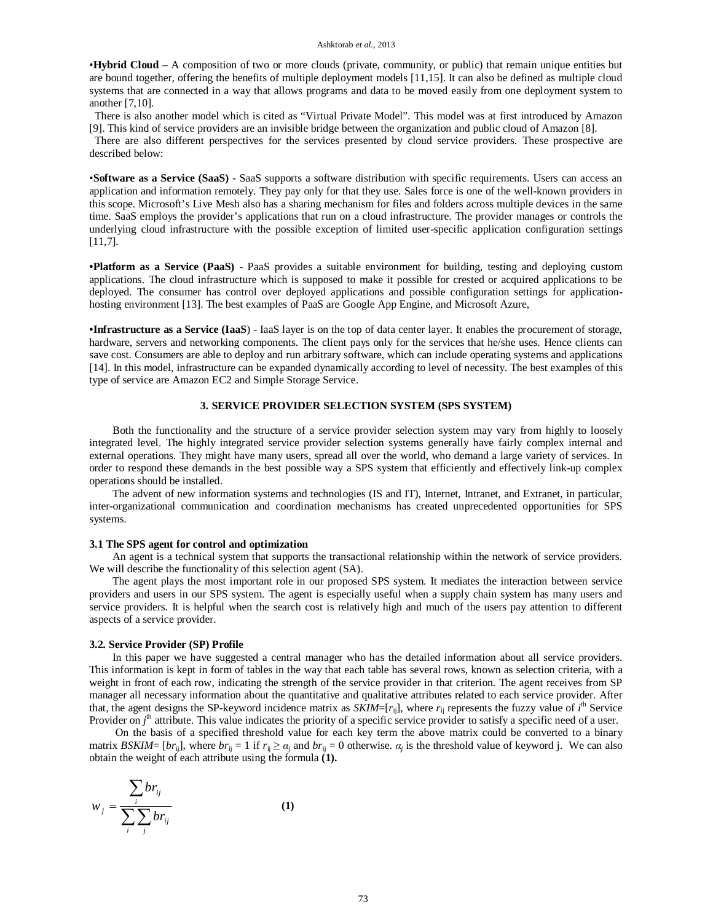•**Hybrid Cloud** – A composition of two or more clouds (private, community, or public) that remain unique entities but are bound together, offering the benefits of multiple deployment models [11,15]. It can also be defined as multiple cloud systems that are connected in a way that allows programs and data to be moved easily from one deployment system to another [7,10].

There is also another model which is cited as "Virtual Private Model". This model was at first introduced by Amazon [9]. This kind of service providers are an invisible bridge between the organization and public cloud of Amazon [8].

There are also different perspectives for the services presented by cloud service providers. These prospective are described below:

•**Software as a Service (SaaS)** - SaaS supports a software distribution with specific requirements. Users can access an application and information remotely. They pay only for that they use. Sales force is one of the well-known providers in this scope. Microsoft's Live Mesh also has a sharing mechanism for files and folders across multiple devices in the same time. SaaS employs the provider's applications that run on a cloud infrastructure. The provider manages or controls the underlying cloud infrastructure with the possible exception of limited user-specific application configuration settings [11,7].

**•Platform as a Service (PaaS)** - PaaS provides a suitable environment for building, testing and deploying custom applications. The cloud infrastructure which is supposed to make it possible for crested or acquired applications to be deployed. The consumer has control over deployed applications and possible configuration settings for applicationhosting environment [13]. The best examples of PaaS are Google App Engine, and Microsoft Azure,

**•Infrastructure as a Service (IaaS**) - IaaS layer is on the top of data center layer. It enables the procurement of storage, hardware, servers and networking components. The client pays only for the services that he/she uses. Hence clients can save cost. Consumers are able to deploy and run arbitrary software, which can include operating systems and applications [14]. In this model, infrastructure can be expanded dynamically according to level of necessity. The best examples of this type of service are Amazon EC2 and Simple Storage Service.

## **3. SERVICE PROVIDER SELECTION SYSTEM (SPS SYSTEM)**

Both the functionality and the structure of a service provider selection system may vary from highly to loosely integrated level. The highly integrated service provider selection systems generally have fairly complex internal and external operations. They might have many users, spread all over the world, who demand a large variety of services. In order to respond these demands in the best possible way a SPS system that efficiently and effectively link-up complex operations should be installed.

The advent of new information systems and technologies (IS and IT), Internet, Intranet, and Extranet, in particular, inter-organizational communication and coordination mechanisms has created unprecedented opportunities for SPS systems.

#### **3.1 The SPS agent for control and optimization**

An agent is a technical system that supports the transactional relationship within the network of service providers. We will describe the functionality of this selection agent (SA).

The agent plays the most important role in our proposed SPS system. It mediates the interaction between service providers and users in our SPS system. The agent is especially useful when a supply chain system has many users and service providers. It is helpful when the search cost is relatively high and much of the users pay attention to different aspects of a service provider.

#### **3.2. Service Provider (SP) Profile**

In this paper we have suggested a central manager who has the detailed information about all service providers. This information is kept in form of tables in the way that each table has several rows, known as selection criteria, with a weight in front of each row, indicating the strength of the service provider in that criterion. The agent receives from SP manager all necessary information about the quantitative and qualitative attributes related to each service provider. After that, the agent designs the SP-keyword incidence matrix as  $SKIM=[r_{ij}]$ , where  $r_{ij}$  represents the fuzzy value of  $i<sup>th</sup>$  Service Provider on *j*<sup>th</sup> attribute. This value indicates the priority of a specific service provider to satisfy a specific need of a user.

On the basis of a specified threshold value for each key term the above matrix could be converted to a binary matrix *BSKIM*= [*br*<sub>ij</sub>], where  $br_{ij} = 1$  if  $r_{ij} \ge a_j$  and  $br_{ij} = 0$  otherwise.  $a_j$  is the threshold value of keyword j. We can also obtain the weight of each attribute using the formula **(1).**

$$
w_j = \frac{\sum_i br_{ij}}{\sum_i \sum_j br_{ij}} \tag{1}
$$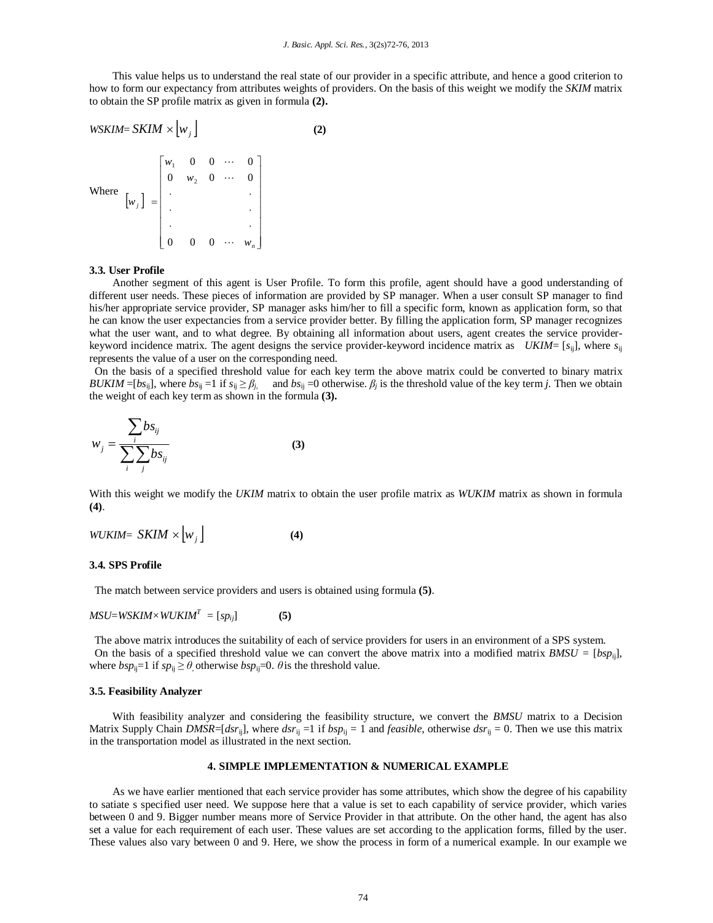This value helps us to understand the real state of our provider in a specific attribute, and hence a good criterion to how to form our expectancy from attributes weights of providers. On the basis of this weight we modify the *SKIM* matrix to obtain the SP profile matrix as given in formula **(2).**

$$
WSKIM = SKIM \times [w_j]
$$
\n
$$
\text{Where } [w_j] = \begin{bmatrix} w_1 & 0 & 0 & \cdots & 0 \\ 0 & w_2 & 0 & \cdots & 0 \\ \vdots & & & & \vdots \\ 0 & 0 & 0 & \cdots & w_n \end{bmatrix}
$$
\n
$$
(2)
$$

## **3.3. User Profile**

Another segment of this agent is User Profile. To form this profile, agent should have a good understanding of different user needs. These pieces of information are provided by SP manager. When a user consult SP manager to find his/her appropriate service provider, SP manager asks him/her to fill a specific form, known as application form, so that he can know the user expectancies from a service provider better. By filling the application form, SP manager recognizes what the user want, and to what degree. By obtaining all information about users, agent creates the service providerkeyword incidence matrix. The agent designs the service provider-keyword incidence matrix as *UKIM*= [*s*ij], where *s*ij represents the value of a user on the corresponding need.

On the basis of a specified threshold value for each key term the above matrix could be converted to binary matrix *BUKIM* = [ $bs_{ij}$ ], where  $bs_{ij} = 1$  if  $s_{ij} \geq \beta_i$  and  $bs_{ij} = 0$  otherwise.  $\beta_i$  is the threshold value of the key term *j*. Then we obtain the weight of each key term as shown in the formula **(3).**

$$
w_j = \frac{\sum_i bs_{ij}}{\sum_i \sum_j bs_{ij}}\tag{3}
$$

With this weight we modify the *UKIM* matrix to obtain the user profile matrix as *WUKIM* matrix as shown in formula **(4)**.

$$
WUKIM = SKIM \times \left[ w_j \right] \tag{4}
$$

## **3.4. SPS Profile**

The match between service providers and users is obtained using formula **(5)**.

$$
MSU = WSKIM \times WUKIM^{T} = [sp_{ij}]
$$
 (5)

The above matrix introduces the suitability of each of service providers for users in an environment of a SPS system. On the basis of a specified threshold value we can convert the above matrix into a modified matrix *BMSU =* [*bsp*ij], where  $bsp_{ij}=1$  if  $sp_{ij} \ge \theta$ , otherwise  $bsp_{ij}=0$ .  $\theta$  is the threshold value.

#### **3.5. Feasibility Analyzer**

With feasibility analyzer and considering the feasibility structure, we convert the *BMSU* matrix to a Decision Matrix Supply Chain *DMSR*=[ $dsr_{ij}$ ], where  $dsr_{ij} = 1$  if  $bsp_{ij} = 1$  and  $feasible$ , otherwise  $dsr_{ij} = 0$ . Then we use this matrix in the transportation model as illustrated in the next section.

#### **4. SIMPLE IMPLEMENTATION & NUMERICAL EXAMPLE**

As we have earlier mentioned that each service provider has some attributes, which show the degree of his capability to satiate s specified user need. We suppose here that a value is set to each capability of service provider, which varies between 0 and 9. Bigger number means more of Service Provider in that attribute. On the other hand, the agent has also set a value for each requirement of each user. These values are set according to the application forms, filled by the user. These values also vary between 0 and 9. Here, we show the process in form of a numerical example. In our example we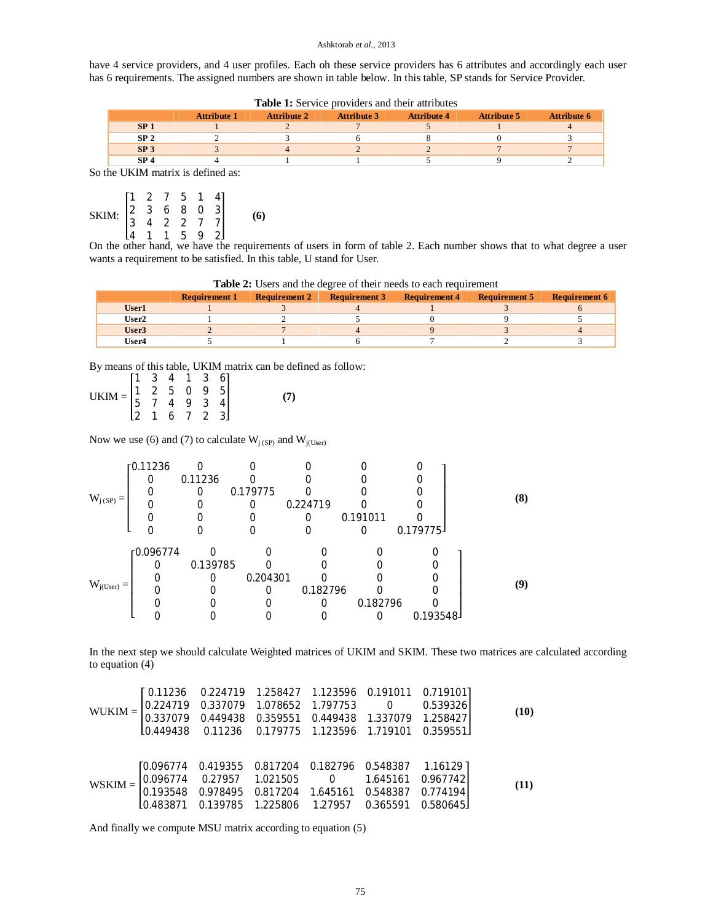## Ashktorab *et al.,* 2013

have 4 service providers, and 4 user profiles. Each oh these service providers has 6 attributes and accordingly each user has 6 requirements. The assigned numbers are shown in table below. In this table, SP stands for Service Provider.

| <b>Table 1:</b> Service providers and their attributes |                    |                    |                    |                    |                    |                    |  |
|--------------------------------------------------------|--------------------|--------------------|--------------------|--------------------|--------------------|--------------------|--|
|                                                        | <b>Attribute 1</b> | <b>Attribute 2</b> | <b>Attribute 3</b> | <b>Attribute 4</b> | <b>Attribute 5</b> | <b>Attribute 6</b> |  |
| SP <sub>1</sub>                                        |                    |                    |                    |                    |                    |                    |  |
| SP <sub>2</sub>                                        |                    |                    |                    |                    |                    |                    |  |
| SP <sub>3</sub>                                        |                    |                    |                    |                    |                    |                    |  |
| SP 4                                                   |                    |                    |                    |                    |                    |                    |  |

So the UKIM matrix is defined as:

| SKIM: $\begin{bmatrix} 1 & 2 & 7 & 5 & 1 & 4 \\ 2 & 3 & 6 & 8 & 0 & 3 \\ 3 & 4 & 2 & 2 & 7 & 7 \end{bmatrix}$ |  |      |  |  |
|---------------------------------------------------------------------------------------------------------------|--|------|--|--|
|                                                                                                               |  |      |  |  |
|                                                                                                               |  | $-5$ |  |  |

On the other hand, we have the requirements of users in form of table 2. Each number shows that to what degree a user wants a requirement to be satisfied. In this table, U stand for User.

|                   | <b>Requirement 1</b> | <b>Requirement 2</b> | <b>Requirement 3</b> | <b>Requirement 4</b> | <b>Requirement 5</b> | <b>Requirement 6</b> |
|-------------------|----------------------|----------------------|----------------------|----------------------|----------------------|----------------------|
| User1             |                      |                      |                      |                      |                      |                      |
| User <sub>2</sub> |                      |                      |                      |                      |                      |                      |
| User3             |                      |                      |                      |                      |                      |                      |
| <b>User4</b>      |                      |                      |                      |                      |                      |                      |

By means of this table, UKIM matrix can be defined as follow:

| UKIM = $\begin{bmatrix} 1 & 3 & 4 & 1 & 3 & 6 \\ 1 & 2 & 5 & 0 & 9 & 5 \\ 5 & 7 & 4 & 9 & 3 & 4 \\ 2 & 1 & 6 & 7 & 2 & 3 \end{bmatrix}$ |  |  |  |  |
|-----------------------------------------------------------------------------------------------------------------------------------------|--|--|--|--|
|                                                                                                                                         |  |  |  |  |
|                                                                                                                                         |  |  |  |  |

Now we use (6) and (7) to calculate  $W_{j(SP)}$  and  $W_{j(User)}$ 

$$
W_{j (SP)} = \begin{bmatrix} 0.11236 & 0 & 0 & 0 & 0 & 0 & 0 \\ 0 & 0.11236 & 0 & 0 & 0 & 0 & 0 \\ 0 & 0 & 0.179775 & 0 & 0 & 0 & 0 \\ 0 & 0 & 0 & 0.224719 & 0 & 0 & 0 \\ 0 & 0 & 0 & 0 & 0 & 0.191011 & 0 \\ 0 & 0 & 0 & 0 & 0 & 0 & 0.179775 \end{bmatrix}
$$
 (8)  
\n
$$
W_{j (User)} = \begin{bmatrix} 0.096774 & 0 & 0 & 0 & 0 & 0 & 0 \\ 0 & 0.139785 & 0 & 0 & 0 & 0 & 0 \\ 0 & 0 & 0 & 0.182796 & 0 & 0 & 0 \\ 0 & 0 & 0 & 0 & 0 & 0.182796 & 0 \\ 0 & 0 & 0 & 0 & 0 & 0 & 0.193548 \end{bmatrix}
$$
 (9)

In the next step we should calculate Weighted matrices of UKIM and SKIM. These two matrices are calculated according to equation (4)

$$
\text{WUKIM} = \begin{bmatrix} 0.11236 & 0.224719 & 1.258427 & 1.123596 & 0.191011 & 0.719101 \\ 0.224719 & 0.337079 & 1.078652 & 1.797753 & 0 & 0.539326 \\ 0.337079 & 0.449438 & 0.359551 & 0.449438 & 1.337079 & 1.258427 \\ 0.449438 & 0.11236 & 0.179775 & 1.123596 & 1.719101 & 0.359551 \end{bmatrix} \tag{10}
$$
\n
$$
\text{WSKIM} = \begin{bmatrix} 0.096774 & 0.419355 & 0.817204 & 0.182796 & 0.548387 & 1.16129 \\ 0.096774 & 0.27957 & 1.021505 & 0 & 1.645161 & 0.967742 \\ 0.193548 & 0.978495 & 0.817204 & 1.645161 & 0.548387 & 0.774194 \\ 0.483871 & 0.139785 & 1.225806 & 1.27957 & 0.365591 & 0.580645 \end{bmatrix} \tag{11}
$$

And finally we compute MSU matrix according to equation (5)